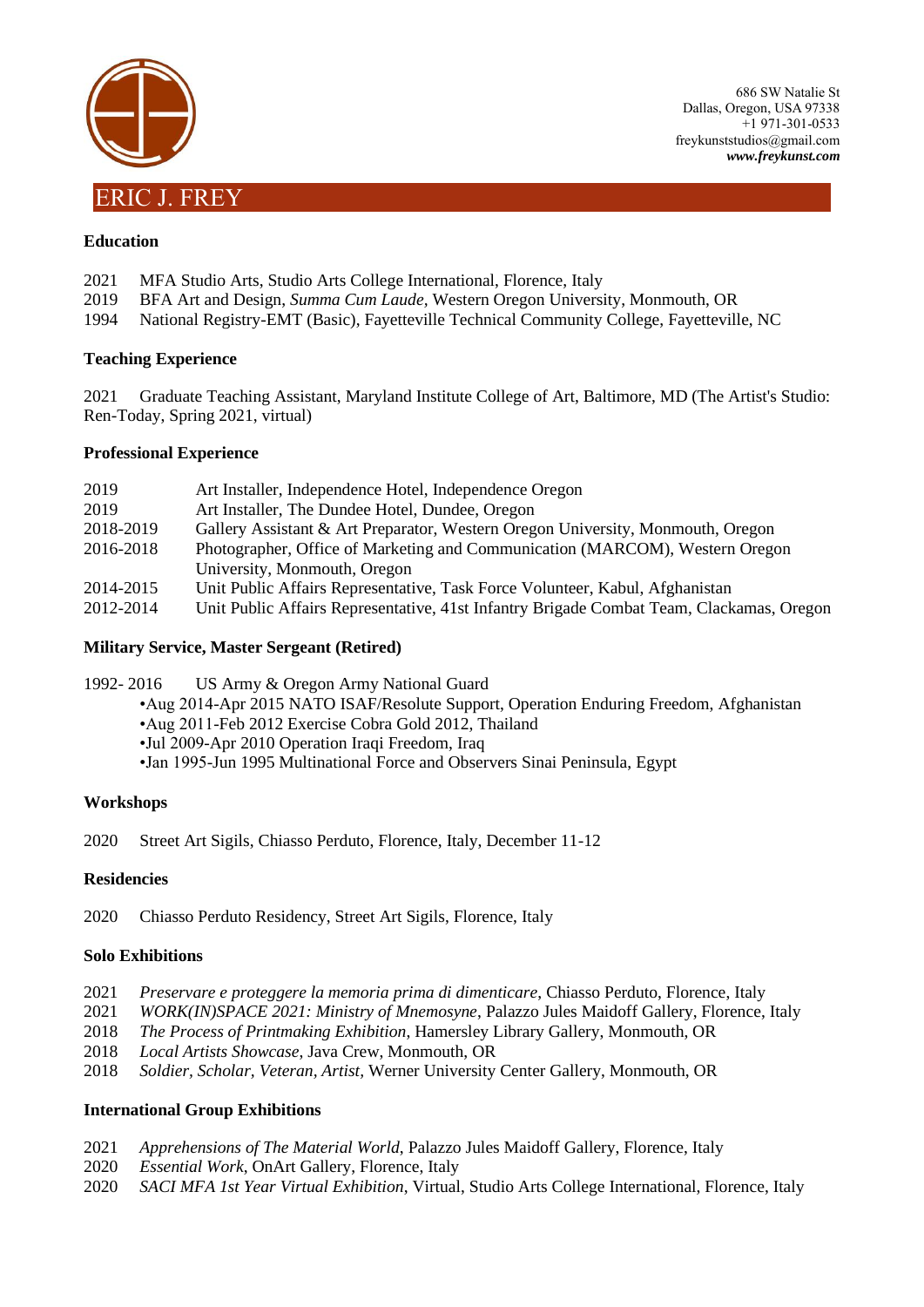

## **Education**

- 2021 MFA Studio Arts, Studio Arts College International, Florence, Italy
- 2019 BFA Art and Design, *Summa Cum Laude,* Western Oregon University, Monmouth, OR
- 1994 National Registry-EMT (Basic), Fayetteville Technical Community College, Fayetteville, NC

#### **Teaching Experience**

2021 Graduate Teaching Assistant, Maryland Institute College of Art, Baltimore, MD (The Artist's Studio: Ren-Today, Spring 2021, virtual)

#### **Professional Experience**

| 2019      | Art Installer, Independence Hotel, Independence Oregon                                   |
|-----------|------------------------------------------------------------------------------------------|
| 2019      | Art Installer, The Dundee Hotel, Dundee, Oregon                                          |
| 2018-2019 | Gallery Assistant & Art Preparator, Western Oregon University, Monmouth, Oregon          |
| 2016-2018 | Photographer, Office of Marketing and Communication (MARCOM), Western Oregon             |
|           | University, Monmouth, Oregon                                                             |
| 2014-2015 | Unit Public Affairs Representative, Task Force Volunteer, Kabul, Afghanistan             |
| 2012-2014 | Unit Public Affairs Representative, 41st Infantry Brigade Combat Team, Clackamas, Oregon |

### **Military Service, Master Sergeant (Retired)**

1992- 2016 US Army & Oregon Army National Guard

•Aug 2014-Apr 2015 NATO ISAF/Resolute Support, Operation Enduring Freedom, Afghanistan

- •Aug 2011-Feb 2012 Exercise Cobra Gold 2012, Thailand
- •Jul 2009-Apr 2010 Operation Iraqi Freedom, Iraq

•Jan 1995-Jun 1995 Multinational Force and Observers Sinai Peninsula, Egypt

#### **Workshops**

2020 Street Art Sigils, Chiasso Perduto, Florence, Italy, December 11-12

#### **Residencies**

2020 Chiasso Perduto Residency, Street Art Sigils, Florence, Italy

#### **Solo Exhibitions**

- 2021 *Preservare e proteggere la memoria prima di dimenticare*, Chiasso Perduto, Florence, Italy
- 2021 *WORK(IN)SPACE 2021: Ministry of Mnemosyne*, Palazzo Jules Maidoff Gallery, Florence, Italy
- 2018 *The Process of Printmaking Exhibition*, Hamersley Library Gallery, Monmouth, OR
- 2018 *Local Artists Showcase*, Java Crew, Monmouth, OR
- 2018 *Soldier, Scholar, Veteran, Artist,* Werner University Center Gallery, Monmouth, OR

# **International Group Exhibitions**

- 2021 *Apprehensions of The Material World*, Palazzo Jules Maidoff Gallery, Florence, Italy
- 2020 *Essential Work*, OnArt Gallery, Florence, Italy
- 2020 *SACI MFA 1st Year Virtual Exhibition*, Virtual, Studio Arts College International, Florence, Italy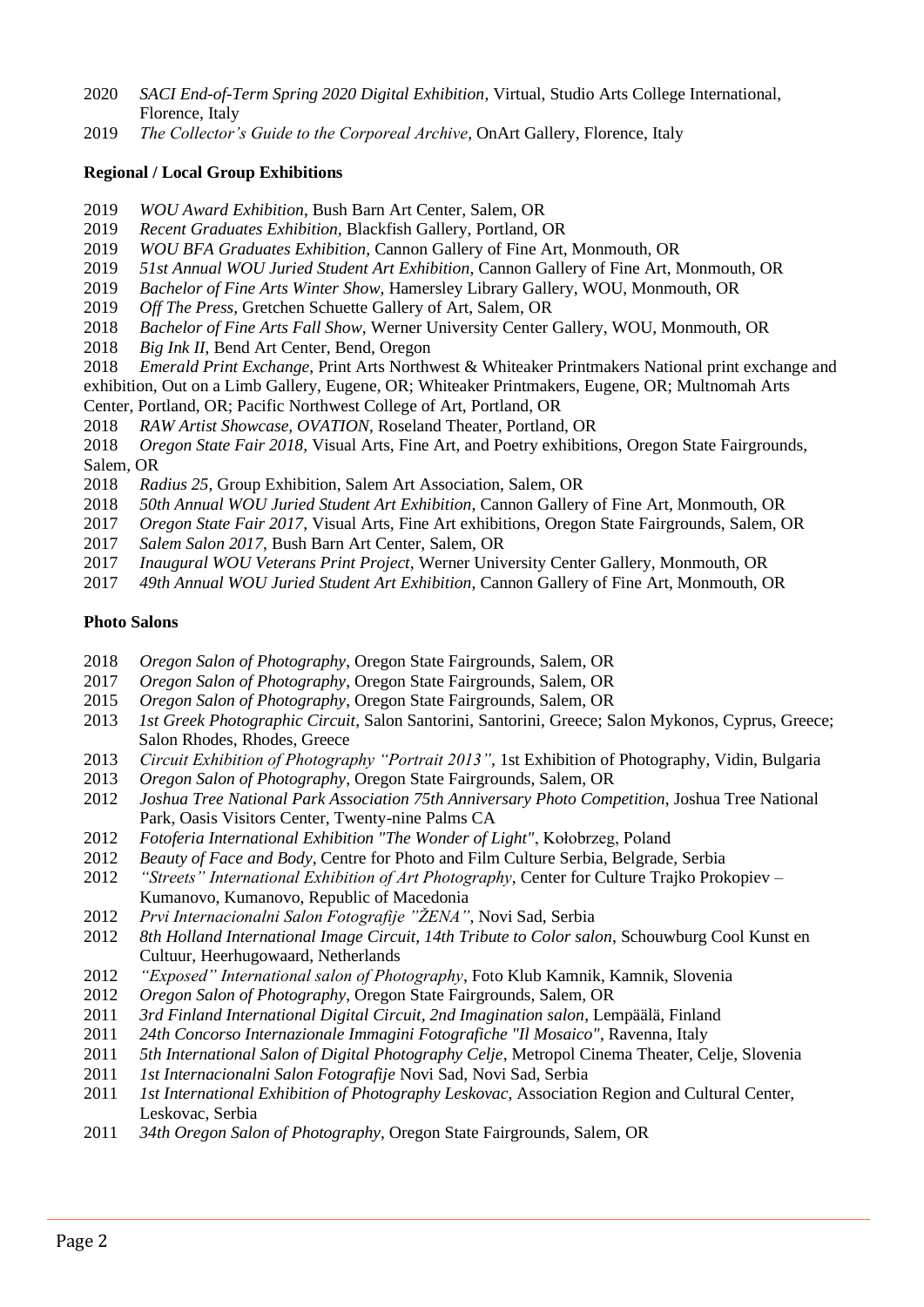- *SACI End-of-Term Spring 2020 Digital Exhibition*, Virtual, Studio Arts College International, Florence, Italy
- *The Collector's Guide to the Corporeal Archive*, OnArt Gallery, Florence, Italy

# **Regional / Local Group Exhibitions**

- *WOU Award Exhibition*, Bush Barn Art Center, Salem, OR
- *Recent Graduates Exhibition*, Blackfish Gallery, Portland, OR
- *WOU BFA Graduates Exhibition*, Cannon Gallery of Fine Art, Monmouth, OR
- *51st Annual WOU Juried Student Art Exhibition*, Cannon Gallery of Fine Art, Monmouth, OR
- *Bachelor of Fine Arts Winter Show*, Hamersley Library Gallery, WOU, Monmouth, OR
- *Off The Press*, Gretchen Schuette Gallery of Art, Salem, OR
- *Bachelor of Fine Arts Fall Show*, Werner University Center Gallery, WOU, Monmouth, OR
- *Big Ink II*, Bend Art Center, Bend, Oregon
- *Emerald Print Exchange*, Print Arts Northwest & Whiteaker Printmakers National print exchange and
- exhibition, Out on a Limb Gallery, Eugene, OR; Whiteaker Printmakers, Eugene, OR; Multnomah Arts Center, Portland, OR; Pacific Northwest College of Art, Portland, OR
- *RAW Artist Showcase, OVATION*, Roseland Theater, Portland, OR

*Oregon State Fair 2018*, Visual Arts, Fine Art, and Poetry exhibitions, Oregon State Fairgrounds, Salem, OR

- *Radius 25*, Group Exhibition, Salem Art Association, Salem, OR
- *50th Annual WOU Juried Student Art Exhibition*, Cannon Gallery of Fine Art, Monmouth, OR
- *Oregon State Fair 2017*, Visual Arts, Fine Art exhibitions, Oregon State Fairgrounds, Salem, OR
- *Salem Salon 2017*, Bush Barn Art Center, Salem, OR
- *Inaugural WOU Veterans Print Project*, Werner University Center Gallery, Monmouth, OR
- *49th Annual WOU Juried Student Art Exhibition*, Cannon Gallery of Fine Art, Monmouth, OR

# **Photo Salons**

- *Oregon Salon of Photography*, Oregon State Fairgrounds, Salem, OR
- *Oregon Salon of Photography*, Oregon State Fairgrounds, Salem, OR
- *Oregon Salon of Photography*, Oregon State Fairgrounds, Salem, OR
- *1st Greek Photographic Circuit*, Salon Santorini, Santorini, Greece; Salon Mykonos, Cyprus, Greece; Salon Rhodes, Rhodes, Greece
- *Circuit Exhibition of Photography "Portrait 2013"*, 1st Exhibition of Photography, Vidin, Bulgaria
- *Oregon Salon of Photography*, Oregon State Fairgrounds, Salem, OR
- *Joshua Tree National Park Association 75th Anniversary Photo Competition*, Joshua Tree National Park, Oasis Visitors Center, Twenty-nine Palms CA
- *Fotoferia International Exhibition "The Wonder of Light"*, Kołobrzeg, Poland
- *Beauty of Face and Body*, Centre for Photo and Film Culture Serbia, Belgrade, Serbia
- *"Streets" International Exhibition of Art Photography*, Center for Culture Trajko Prokopiev Kumanovo, Kumanovo, Republic of Macedonia
- *Prvi Internacionalni Salon Fotografije "ŽENA"*, Novi Sad, Serbia
- *8th Holland International Image Circuit, 14th Tribute to Color salon*, Schouwburg Cool Kunst en Cultuur, Heerhugowaard, Netherlands
- *"Exposed" International salon of Photography*, Foto Klub Kamnik, Kamnik, Slovenia
- *Oregon Salon of Photography*, Oregon State Fairgrounds, Salem, OR
- *3rd Finland International Digital Circuit, 2nd Imagination salon*, Lempäälä, Finland
- *24th Concorso Internazionale Immagini Fotografiche "Il Mosaico"*, Ravenna, Italy
- *5th International Salon of Digital Photography Celje*, Metropol Cinema Theater, Celje, Slovenia
- *1st Internacionalni Salon Fotografije* Novi Sad, Novi Sad, Serbia
- *1st International Exhibition of Photography Leskovac,* Association Region and Cultural Center, Leskovac, Serbia
- *34th Oregon Salon of Photography*, Oregon State Fairgrounds, Salem, OR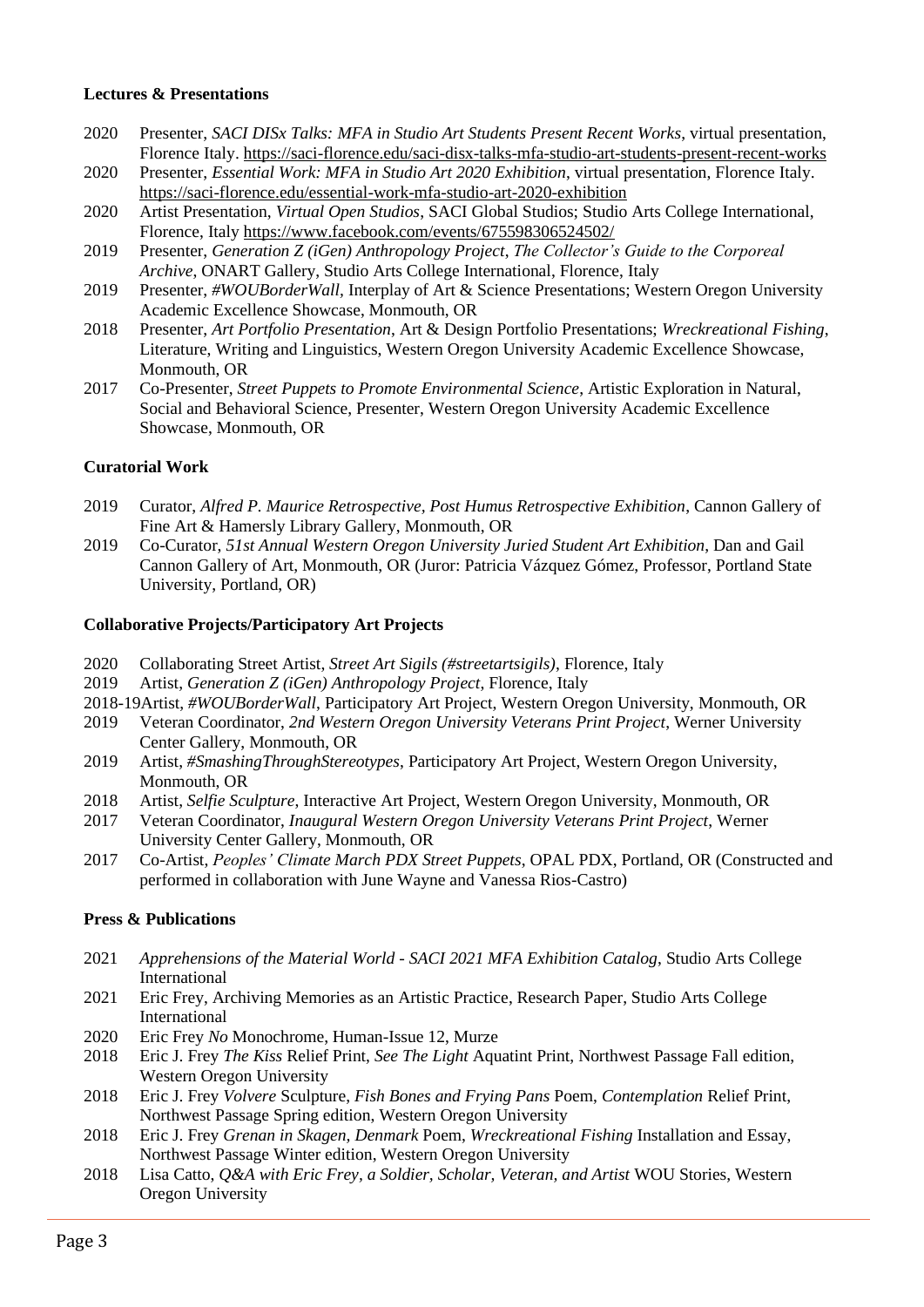#### **Lectures & Presentations**

- 2020 Presenter, *SACI DISx Talks: MFA in Studio Art Students Present Recent Works*, virtual presentation, Florence Italy. https://saci-florence.edu/saci-disx-talks-mfa-studio-art-students-present-recent-works
- 2020 Presenter, *Essential Work: MFA in Studio Art 2020 Exhibition*, virtual presentation, Florence Italy. https://saci-florence.edu/essential-work-mfa-studio-art-2020-exhibition
- 2020 Artist Presentation, *Virtual Open Studios*, SACI Global Studios; Studio Arts College International, Florence, Italy https://www.facebook.com/events/675598306524502/
- 2019 Presenter, *Generation Z (iGen) Anthropology Project*, *The Collector's Guide to the Corporeal Archive*, ONART Gallery, Studio Arts College International, Florence, Italy
- 2019 Presenter, *#WOUBorderWall,* Interplay of Art & Science Presentations; Western Oregon University Academic Excellence Showcase, Monmouth, OR
- 2018 Presenter, *Art Portfolio Presentation*, Art & Design Portfolio Presentations; *Wreckreational Fishing*, Literature, Writing and Linguistics, Western Oregon University Academic Excellence Showcase, Monmouth, OR
- 2017 Co-Presenter, *Street Puppets to Promote Environmental Science*, Artistic Exploration in Natural, Social and Behavioral Science, Presenter, Western Oregon University Academic Excellence Showcase, Monmouth, OR

## **Curatorial Work**

- 2019 Curator, *Alfred P. Maurice Retrospective, Post Humus Retrospective Exhibition*, Cannon Gallery of Fine Art & Hamersly Library Gallery, Monmouth, OR
- 2019 Co-Curator, *51st Annual Western Oregon University Juried Student Art Exhibition*, Dan and Gail Cannon Gallery of Art, Monmouth, OR (Juror: Patricia Vázquez Gómez, Professor, Portland State University, Portland, OR)

#### **Collaborative Projects/Participatory Art Projects**

- 2020 Collaborating Street Artist, *Street Art Sigils (#streetartsigils)*, Florence, Italy
- 2019 Artist, *Generation Z (iGen) Anthropology Project*, Florence, Italy
- 2018-19Artist, *#WOUBorderWall*, Participatory Art Project, Western Oregon University, Monmouth, OR
- 2019 Veteran Coordinator, *2nd Western Oregon University Veterans Print Project*, Werner University Center Gallery, Monmouth, OR
- 2019 Artist, *#SmashingThroughStereotypes*, Participatory Art Project, Western Oregon University, Monmouth, OR
- 2018 Artist, *Selfie Sculpture*, Interactive Art Project, Western Oregon University, Monmouth, OR
- 2017 Veteran Coordinator, *Inaugural Western Oregon University Veterans Print Project*, Werner University Center Gallery, Monmouth, OR
- 2017 Co-Artist, *Peoples' Climate March PDX Street Puppets*, OPAL PDX, Portland, OR (Constructed and performed in collaboration with June Wayne and Vanessa Rios-Castro)

#### **Press & Publications**

- 2021 *Apprehensions of the Material World - SACI 2021 MFA Exhibition Catalog*, Studio Arts College International
- 2021 Eric Frey, Archiving Memories as an Artistic Practice, Research Paper, Studio Arts College International
- 2020 Eric Frey *No* Monochrome, Human-Issue 12, Murze
- 2018 Eric J. Frey *The Kiss* Relief Print, *See The Light* Aquatint Print, Northwest Passage Fall edition, Western Oregon University
- 2018 Eric J. Frey *Volvere* Sculpture, *Fish Bones and Frying Pans* Poem, *Contemplation* Relief Print, Northwest Passage Spring edition, Western Oregon University
- 2018 Eric J. Frey *Grenan in Skagen, Denmark* Poem, *Wreckreational Fishing* Installation and Essay, Northwest Passage Winter edition, Western Oregon University
- 2018 Lisa Catto, *Q&A with Eric Frey, a Soldier, Scholar, Veteran, and Artist* WOU Stories, Western Oregon University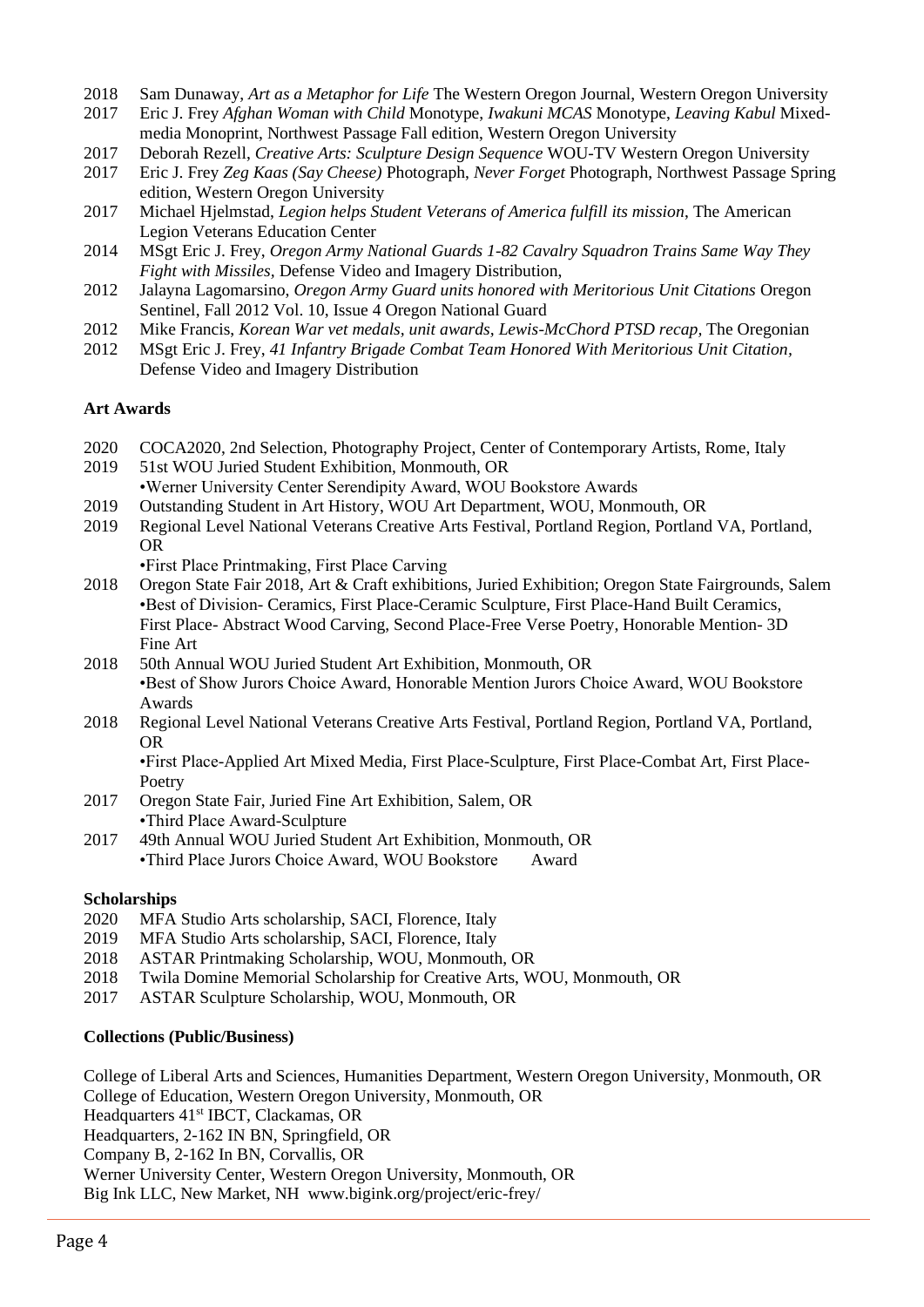- 2018 Sam Dunaway, *Art as a Metaphor for Life* The Western Oregon Journal, Western Oregon University
- 2017 Eric J. Frey *Afghan Woman with Child* Monotype, *Iwakuni MCAS* Monotype, *Leaving Kabul* Mixedmedia Monoprint, Northwest Passage Fall edition, Western Oregon University
- 2017 Deborah Rezell, *Creative Arts: Sculpture Design Sequence* WOU-TV Western Oregon University
- 2017 Eric J. Frey *Zeg Kaas (Say Cheese)* Photograph, *Never Forget* Photograph, Northwest Passage Spring edition, Western Oregon University
- 2017 Michael Hjelmstad, *Legion helps Student Veterans of America fulfill its mission*, The American Legion Veterans Education Center
- 2014 MSgt Eric J. Frey, *Oregon Army National Guards 1-82 Cavalry Squadron Trains Same Way They Fight with Missiles,* Defense Video and Imagery Distribution,
- 2012 Jalayna Lagomarsino, *Oregon Army Guard units honored with Meritorious Unit Citations* Oregon Sentinel, Fall 2012 Vol. 10, Issue 4 Oregon National Guard
- 2012 Mike Francis, *Korean War vet medals, unit awards, Lewis-McChord PTSD recap,* The Oregonian
- 2012 MSgt Eric J. Frey, *41 Infantry Brigade Combat Team Honored With Meritorious Unit Citation,* Defense Video and Imagery Distribution

## **Art Awards**

- 2020 COCA2020, 2nd Selection, Photography Project, Center of Contemporary Artists, Rome, Italy
- 2019 51st WOU Juried Student Exhibition, Monmouth, OR
- •Werner University Center Serendipity Award, WOU Bookstore Awards
- 2019 Outstanding Student in Art History, WOU Art Department, WOU, Monmouth, OR
- 2019 Regional Level National Veterans Creative Arts Festival, Portland Region, Portland VA, Portland, OR

•First Place Printmaking, First Place Carving

- 2018 Oregon State Fair 2018, Art & Craft exhibitions, Juried Exhibition; Oregon State Fairgrounds, Salem •Best of Division- Ceramics, First Place-Ceramic Sculpture, First Place-Hand Built Ceramics, First Place- Abstract Wood Carving, Second Place-Free Verse Poetry, Honorable Mention- 3D Fine Art
- 2018 50th Annual WOU Juried Student Art Exhibition, Monmouth, OR •Best of Show Jurors Choice Award, Honorable Mention Jurors Choice Award, WOU Bookstore Awards
- 2018 Regional Level National Veterans Creative Arts Festival, Portland Region, Portland VA, Portland, OR

•First Place-Applied Art Mixed Media, First Place-Sculpture, First Place-Combat Art, First Place-Poetry

- 2017 Oregon State Fair, Juried Fine Art Exhibition, Salem, OR •Third Place Award-Sculpture
- 2017 49th Annual WOU Juried Student Art Exhibition, Monmouth, OR •Third Place Jurors Choice Award, WOU Bookstore Award

#### **Scholarships**

- 2020 MFA Studio Arts scholarship, SACI, Florence, Italy
- 2019 MFA Studio Arts scholarship, SACI, Florence, Italy
- 2018 ASTAR Printmaking Scholarship, WOU, Monmouth, OR
- 2018 Twila Domine Memorial Scholarship for Creative Arts, WOU, Monmouth, OR
- 2017 ASTAR Sculpture Scholarship, WOU, Monmouth, OR

# **Collections (Public/Business)**

College of Liberal Arts and Sciences, Humanities Department, Western Oregon University, Monmouth, OR College of Education, Western Oregon University, Monmouth, OR

Headquarters 41<sup>st</sup> IBCT, Clackamas, OR

Headquarters, 2-162 IN BN, Springfield, OR

Company B, 2-162 In BN, Corvallis, OR

Werner University Center, Western Oregon University, Monmouth, OR

Big Ink LLC, New Market, NH www.bigink.org/project/eric-frey/